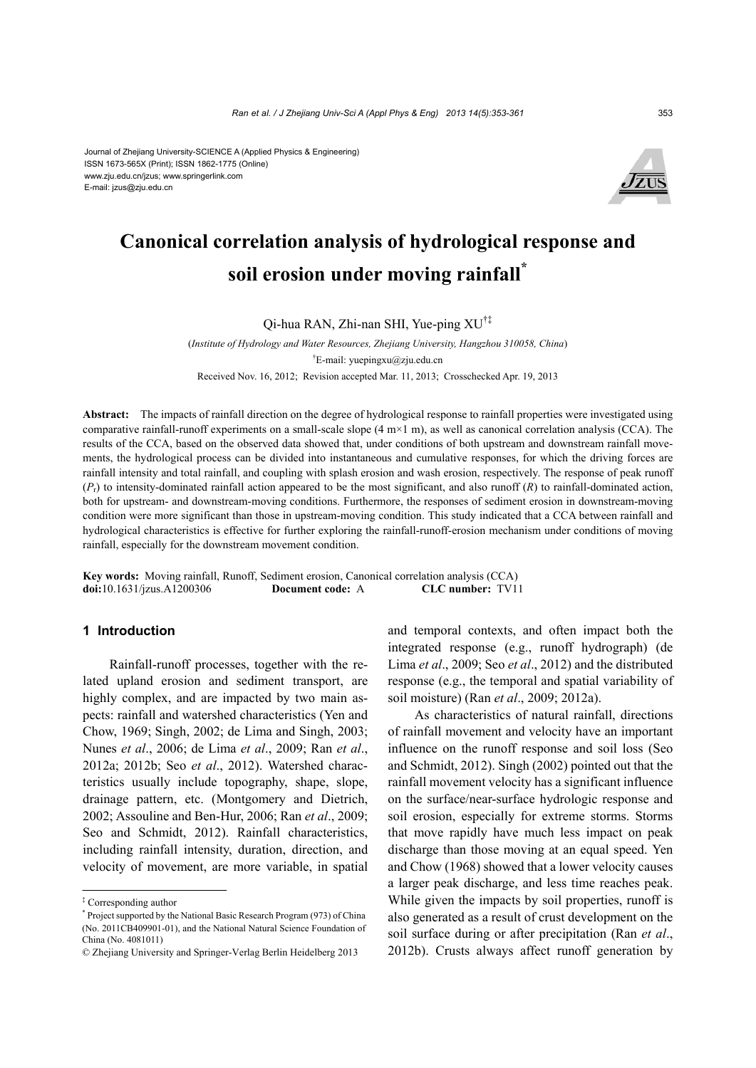Journal of Zhejiang University-SCIENCE A (Applied Physics & Engineering) ISSN 1673-565X (Print); ISSN 1862-1775 (Online) www.zju.edu.cn/jzus; www.springerlink.com E-mail: jzus@zju.edu.cn



# **Canonical correlation analysis of hydrological response and soil erosion under moving rainfall\***

Qi-hua RAN, Zhi-nan SHI, Yue-ping XU†‡

(*Institute of Hydrology and Water Resources, Zhejiang University, Hangzhou 310058, China*) † E-mail: yuepingxu@zju.edu.cn Received Nov. 16, 2012; Revision accepted Mar. 11, 2013; Crosschecked Apr. 19, 2013

**Abstract:** The impacts of rainfall direction on the degree of hydrological response to rainfall properties were investigated using comparative rainfall-runoff experiments on a small-scale slope  $(4 \text{ m} \times 1 \text{ m})$ , as well as canonical correlation analysis (CCA). The results of the CCA, based on the observed data showed that, under conditions of both upstream and downstream rainfall movements, the hydrological process can be divided into instantaneous and cumulative responses, for which the driving forces are rainfall intensity and total rainfall, and coupling with splash erosion and wash erosion, respectively. The response of peak runoff  $(P<sub>r</sub>)$  to intensity-dominated rainfall action appeared to be the most significant, and also runoff  $(R)$  to rainfall-dominated action, both for upstream- and downstream-moving conditions. Furthermore, the responses of sediment erosion in downstream-moving condition were more significant than those in upstream-moving condition. This study indicated that a CCA between rainfall and hydrological characteristics is effective for further exploring the rainfall-runoff-erosion mechanism under conditions of moving rainfall, especially for the downstream movement condition.

**Key words:** Moving rainfall, Runoff, Sediment erosion, Canonical correlation analysis (CCA) **doi:**10.1631/jzus.A1200306 **Document code:** A **CLC number:** TV11

# **1 Introduction**

Rainfall-runoff processes, together with the related upland erosion and sediment transport, are highly complex, and are impacted by two main aspects: rainfall and watershed characteristics (Yen and Chow, 1969; Singh, 2002; de Lima and Singh, 2003; Nunes *et al*., 2006; de Lima *et al*., 2009; Ran *et al*., 2012a; 2012b; Seo *et al*., 2012). Watershed characteristics usually include topography, shape, slope, drainage pattern, etc. (Montgomery and Dietrich, 2002; Assouline and Ben-Hur, 2006; Ran *et al*., 2009; Seo and Schmidt, 2012). Rainfall characteristics, including rainfall intensity, duration, direction, and velocity of movement, are more variable, in spatial

and temporal contexts, and often impact both the integrated response (e.g., runoff hydrograph) (de Lima *et al*., 2009; Seo *et al*., 2012) and the distributed response (e.g., the temporal and spatial variability of soil moisture) (Ran *et al*., 2009; 2012a).

As characteristics of natural rainfall, directions of rainfall movement and velocity have an important influence on the runoff response and soil loss (Seo and Schmidt, 2012). Singh (2002) pointed out that the rainfall movement velocity has a significant influence on the surface/near-surface hydrologic response and soil erosion, especially for extreme storms. Storms that move rapidly have much less impact on peak discharge than those moving at an equal speed. Yen and Chow (1968) showed that a lower velocity causes a larger peak discharge, and less time reaches peak. While given the impacts by soil properties, runoff is also generated as a result of crust development on the soil surface during or after precipitation (Ran *et al*., 2012b). Crusts always affect runoff generation by

<sup>‡</sup> Corresponding author

<sup>\*</sup> Project supported by the National Basic Research Program (973) of China (No. 2011CB409901-01), and the National Natural Science Foundation of China (No. 4081011)

<sup>©</sup> Zhejiang University and Springer-Verlag Berlin Heidelberg 2013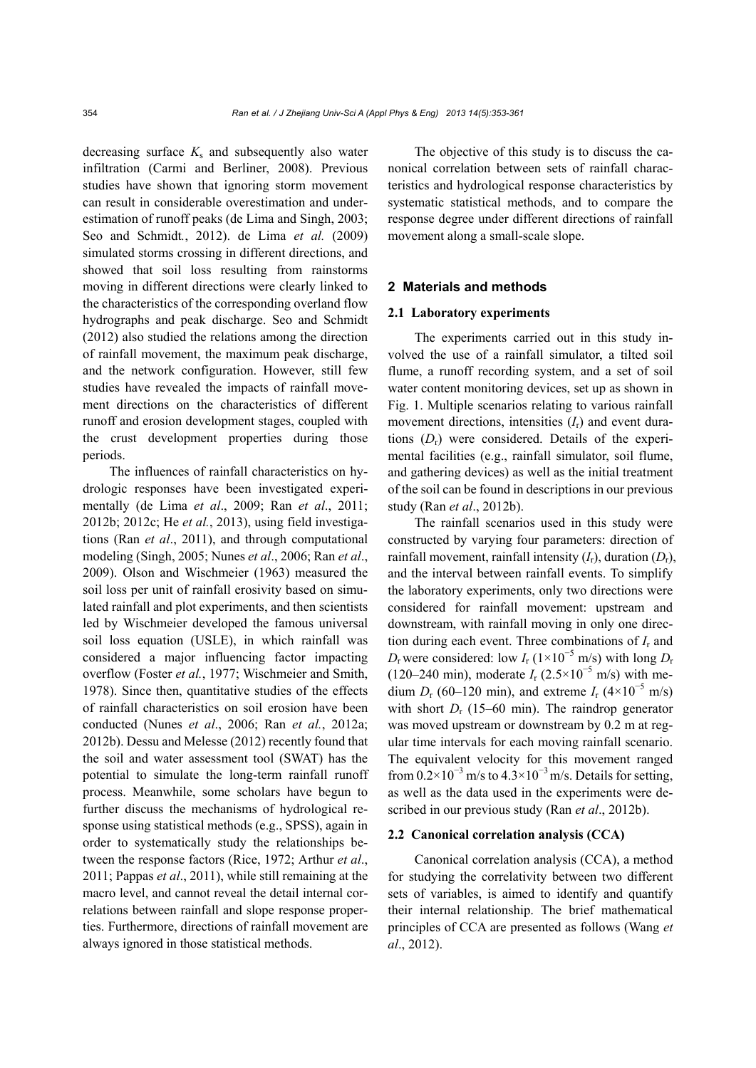decreasing surface  $K_s$  and subsequently also water infiltration (Carmi and Berliner, 2008). Previous studies have shown that ignoring storm movement can result in considerable overestimation and underestimation of runoff peaks (de Lima and Singh, 2003; Seo and Schmidt*.*, 2012). de Lima *et al.* (2009) simulated storms crossing in different directions, and showed that soil loss resulting from rainstorms moving in different directions were clearly linked to the characteristics of the corresponding overland flow hydrographs and peak discharge. Seo and Schmidt (2012) also studied the relations among the direction of rainfall movement, the maximum peak discharge, and the network configuration. However, still few studies have revealed the impacts of rainfall movement directions on the characteristics of different runoff and erosion development stages, coupled with the crust development properties during those periods.

The influences of rainfall characteristics on hydrologic responses have been investigated experimentally (de Lima *et al*., 2009; Ran *et al*., 2011; 2012b; 2012c; He *et al.*, 2013), using field investigations (Ran *et al*., 2011), and through computational modeling (Singh, 2005; Nunes *et al*., 2006; Ran *et al*., 2009). Olson and Wischmeier (1963) measured the soil loss per unit of rainfall erosivity based on simulated rainfall and plot experiments, and then scientists led by Wischmeier developed the famous universal soil loss equation (USLE), in which rainfall was considered a major influencing factor impacting overflow (Foster *et al.*, 1977; Wischmeier and Smith, 1978). Since then, quantitative studies of the effects of rainfall characteristics on soil erosion have been conducted (Nunes *et al*., 2006; Ran *et al.*, 2012a; 2012b). Dessu and Melesse (2012) recently found that the soil and water assessment tool (SWAT) has the potential to simulate the long-term rainfall runoff process. Meanwhile, some scholars have begun to further discuss the mechanisms of hydrological response using statistical methods (e.g., SPSS), again in order to systematically study the relationships between the response factors (Rice, 1972; Arthur *et al*., 2011; Pappas *et al*., 2011), while still remaining at the macro level, and cannot reveal the detail internal correlations between rainfall and slope response properties. Furthermore, directions of rainfall movement are always ignored in those statistical methods.

The objective of this study is to discuss the canonical correlation between sets of rainfall characteristics and hydrological response characteristics by systematic statistical methods, and to compare the response degree under different directions of rainfall movement along a small-scale slope.

#### **2 Materials and methods**

#### **2.1 Laboratory experiments**

The experiments carried out in this study involved the use of a rainfall simulator, a tilted soil flume, a runoff recording system, and a set of soil water content monitoring devices, set up as shown in Fig. 1. Multiple scenarios relating to various rainfall movement directions, intensities  $(I_r)$  and event durations  $(D<sub>r</sub>)$  were considered. Details of the experimental facilities (e.g., rainfall simulator, soil flume, and gathering devices) as well as the initial treatment of the soil can be found in descriptions in our previous study (Ran *et al*., 2012b).

The rainfall scenarios used in this study were constructed by varying four parameters: direction of rainfall movement, rainfall intensity  $(I_r)$ , duration  $(D_r)$ , and the interval between rainfall events. To simplify the laboratory experiments, only two directions were considered for rainfall movement: upstream and downstream, with rainfall moving in only one direction during each event. Three combinations of *I*r and  $D_r$  were considered: low  $I_r$  (1×10<sup>-5</sup> m/s) with long  $D_r$ (120–240 min), moderate  $I_r$  (2.5×10<sup>-5</sup> m/s) with medium  $D_r$  (60–120 min), and extreme  $I_r$  (4×10<sup>-5</sup> m/s) with short  $D_r$  (15–60 min). The raindrop generator was moved upstream or downstream by 0.2 m at regular time intervals for each moving rainfall scenario. The equivalent velocity for this movement ranged from  $0.2 \times 10^{-3}$  m/s to  $4.3 \times 10^{-3}$  m/s. Details for setting, as well as the data used in the experiments were described in our previous study (Ran *et al*., 2012b).

#### **2.2 Canonical correlation analysis (CCA)**

Canonical correlation analysis (CCA), a method for studying the correlativity between two different sets of variables, is aimed to identify and quantify their internal relationship. The brief mathematical principles of CCA are presented as follows (Wang *et al*., 2012).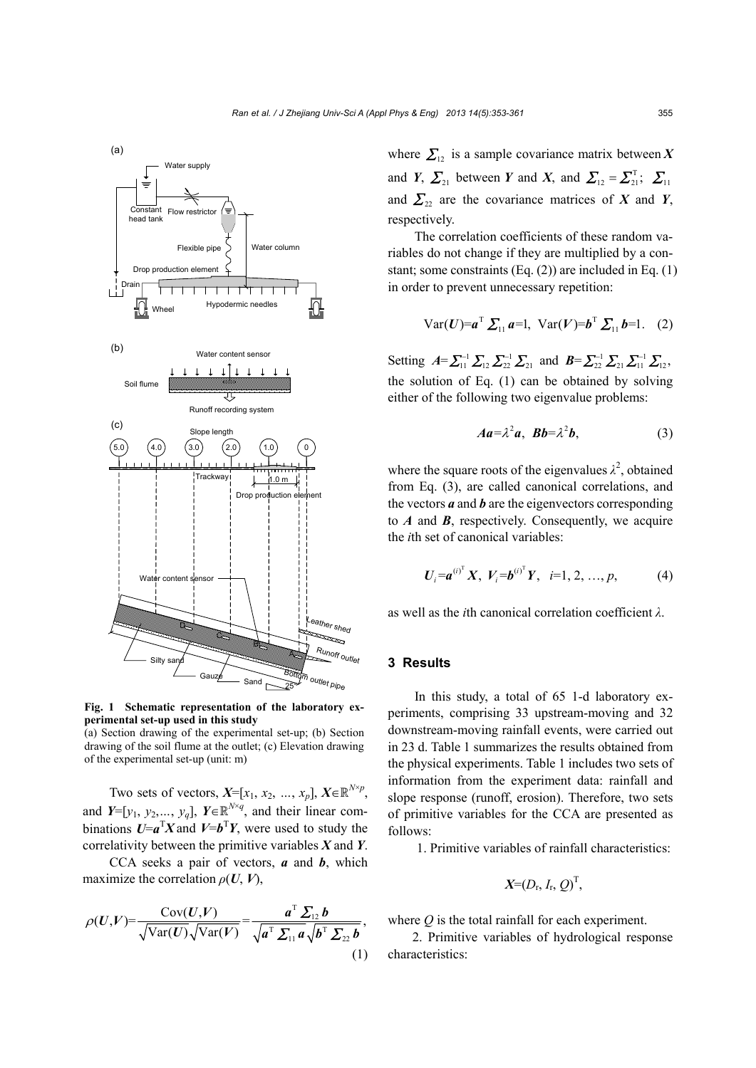

**Fig. 1 Schematic representation of the laboratory experimental set-up used in this study** 

(a) Section drawing of the experimental set-up; (b) Section drawing of the soil flume at the outlet; (c) Elevation drawing of the experimental set-up (unit: m)

Two sets of vectors,  $X=[x_1, x_2, ..., x_p]$ ,  $X \in \mathbb{R}^{N \times p}$ , and *Y*=[ $y_1, y_2, ..., y_q$ ], *Y*∈ $\mathbb{R}^{N \times q}$ , and their linear combinations  $U = a^T X$  and  $V = b^T Y$ , were used to study the correlativity between the primitive variables *X* and *Y*.

CCA seeks a pair of vectors, *a* and *b*, which maximize the correlation  $\rho(U, V)$ ,

$$
\rho(U,V) = \frac{\text{Cov}(U,V)}{\sqrt{\text{Var}(U)}\sqrt{\text{Var}(V)}} = \frac{a^{\text{T}}\sum_{12}b}{\sqrt{a^{\text{T}}\sum_{11}a}\sqrt{b^{\text{T}}\sum_{22}b}},\tag{1}
$$

where  $\sum_{12}$  is a sample covariance matrix between X and *Y*,  $\sum_{21}$  between *Y* and *X*, and  $\sum_{12} = \sum_{21}^{T}$ ;  $\sum_{11}$ and  $\sum_{22}$  are the covariance matrices of *X* and *Y*, respectively.

The correlation coefficients of these random variables do not change if they are multiplied by a constant; some constraints (Eq. (2)) are included in Eq. (1) in order to prevent unnecessary repetition:

Var(***U***)=
$$
a^T \sum_{11} a=1
$$
, Var(***V***)= $b^T \sum_{11} b=1$ . (2)

Setting  $A = \sum_{11}^{-1} \sum_{12} \sum_{22}^{-1} \sum_{21}$  and  $B = \sum_{22}^{-1} \sum_{11} \sum_{12}^{-1} \sum_{12}$ , the solution of Eq. (1) can be obtained by solving either of the following two eigenvalue problems:

$$
Aa=\lambda^2a, \quad Bb=\lambda^2b,\tag{3}
$$

where the square roots of the eigenvalues  $\lambda^2$ , obtained from Eq. (3), are called canonical correlations, and the vectors *a* and *b* are the eigenvectors corresponding to *A* and *B*, respectively. Consequently, we acquire the *i*th set of canonical variables:

$$
U_i = a^{(i)^T} X, V_i = b^{(i)^T} Y, i = 1, 2, ..., p,
$$
 (4)

as well as the *i*th canonical correlation coefficient *λ*.

#### **3 Results**

In this study, a total of 65 1-d laboratory experiments, comprising 33 upstream-moving and 32 downstream-moving rainfall events, were carried out in 23 d. Table 1 summarizes the results obtained from the physical experiments. Table 1 includes two sets of information from the experiment data: rainfall and slope response (runoff, erosion). Therefore, two sets of primitive variables for the CCA are presented as follows:

1. Primitive variables of rainfall characteristics:

$$
X=(D_{r}, I_{r}, Q)^{T},
$$

where *Q* is the total rainfall for each experiment.

2. Primitive variables of hydrological response characteristics: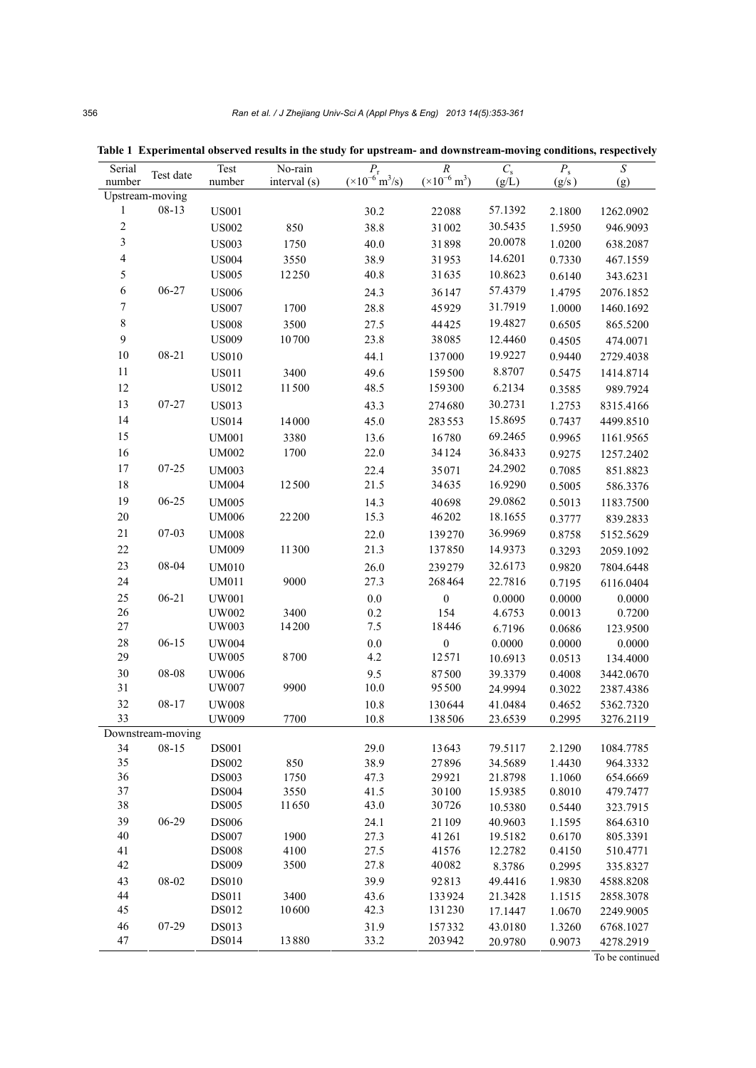| Serial                   | Test date         | Test                         | No-rain       |                                                           |                                  | $C_{\rm s}$       | $P_{\rm s}$      | ${\cal S}$         |
|--------------------------|-------------------|------------------------------|---------------|-----------------------------------------------------------|----------------------------------|-------------------|------------------|--------------------|
| number                   |                   | number                       | interval (s)  | $\frac{P_{\rm r}}{(\times 10^{-6} \, {\rm m}^3/{\rm s})}$ | $rac{R}{(×10^{-6} \text{ m}^3)}$ | (g/L)             | (g/s)            | (g)                |
| Upstream-moving          |                   |                              |               |                                                           |                                  |                   |                  |                    |
| 1                        | $08 - 13$         | <b>US001</b>                 |               | 30.2                                                      | 22088                            | 57.1392           | 2.1800           | 1262.0902          |
| $\sqrt{2}$               |                   | <b>US002</b>                 | 850           | 38.8                                                      | 31002                            | 30.5435           | 1.5950           | 946.9093           |
| 3                        |                   | <b>US003</b>                 | 1750          | 40.0                                                      | 31898                            | 20.0078           | 1.0200           | 638.2087           |
| $\overline{\mathcal{L}}$ |                   | <b>US004</b>                 | 3550          | 38.9                                                      | 31953                            | 14.6201           | 0.7330           | 467.1559           |
| 5                        |                   | <b>US005</b>                 | 12250         | 40.8                                                      | 31635                            | 10.8623           | 0.6140           | 343.6231           |
| $\sqrt{6}$               | 06-27             | <b>US006</b>                 |               | 24.3                                                      | 36147                            | 57.4379           | 1.4795           | 2076.1852          |
| $\boldsymbol{7}$         |                   | <b>US007</b>                 | 1700          | 28.8                                                      | 45929                            | 31.7919           | 1.0000           | 1460.1692          |
| $\,$ $\,$                |                   | <b>US008</b>                 | 3500          | 27.5                                                      | 44425                            | 19.4827           | 0.6505           | 865.5200           |
| $\boldsymbol{9}$         |                   | <b>US009</b>                 | $10\,700$     | 23.8                                                      | 38085                            | 12.4460           | 0.4505           | 474.0071           |
| 10                       | $08 - 21$         | <b>US010</b>                 |               | 44.1                                                      | 137000                           | 19.9227           | 0.9440           | 2729.4038          |
| 11                       |                   | <b>US011</b>                 | 3400          | 49.6                                                      | 159500                           | 8.8707            | 0.5475           | 1414.8714          |
| 12                       |                   | <b>US012</b>                 | 11500         | 48.5                                                      | 159300                           | 6.2134            | 0.3585           | 989.7924           |
| 13                       | 07-27             | <b>US013</b>                 |               | 43.3                                                      | 274680                           | 30.2731           | 1.2753           | 8315.4166          |
| 14                       |                   | <b>US014</b>                 | 14000         | 45.0                                                      | 283553                           | 15.8695           | 0.7437           | 4499.8510          |
| 15                       |                   | <b>UM001</b>                 | 3380          | 13.6                                                      | 16780                            | 69.2465           | 0.9965           | 1161.9565          |
| 16                       |                   | <b>UM002</b>                 | 1700          | 22.0                                                      | 34124                            | 36.8433           | 0.9275           | 1257.2402          |
| 17                       | $07 - 25$         | <b>UM003</b>                 |               | 22.4                                                      | 35071                            | 24.2902           | 0.7085           | 851.8823           |
| 18                       |                   | <b>UM004</b>                 | 12500         | 21.5                                                      | 34635                            | 16.9290           | 0.5005           | 586.3376           |
| 19                       | 06-25             | <b>UM005</b>                 |               | 14.3                                                      | 40698                            | 29.0862           | 0.5013           | 1183.7500          |
| $20\,$                   |                   | <b>UM006</b>                 | 22200         | 15.3                                                      | 46202                            | 18.1655           | 0.3777           | 839.2833           |
| $21\,$                   | 07-03             |                              |               |                                                           |                                  | 36.9969           |                  |                    |
| 22                       |                   | <b>UM008</b>                 | 11300         | 22.0<br>21.3                                              | 139270                           |                   | 0.8758           | 5152.5629          |
|                          |                   | <b>UM009</b>                 |               |                                                           | 137850                           | 14.9373           | 0.3293           | 2059.1092          |
| 23                       | 08-04             | <b>UM010</b>                 |               | 26.0                                                      | 239279                           | 32.6173           | 0.9820           | 7804.6448          |
| 24                       |                   | <b>UM011</b>                 | 9000          | 27.3                                                      | 268464                           | 22.7816           | 0.7195           | 6116.0404          |
| 25                       | $06 - 21$         | <b>UW001</b>                 |               | $0.0\,$                                                   | $\boldsymbol{0}$                 | 0.0000            | 0.0000           | 0.0000             |
| 26<br>$27\,$             |                   | <b>UW002</b><br>UW003        | 3400<br>14200 | 0.2<br>7.5                                                | 154<br>18446                     | 4.6753            | 0.0013           | 0.7200             |
| $28\,$                   | $06 - 15$         |                              |               |                                                           |                                  | 6.7196            | 0.0686           | 123.9500           |
| 29                       |                   | <b>UW004</b><br><b>UW005</b> | 8700          | $0.0\,$<br>4.2                                            | $\boldsymbol{0}$<br>12571        | 0.0000<br>10.6913 | 0.0000<br>0.0513 | 0.0000<br>134.4000 |
| $30\,$                   | 08-08             | <b>UW006</b>                 |               | 9.5                                                       | 87500                            | 39.3379           | 0.4008           | 3442.0670          |
| $3\sqrt{1}$              |                   | <b>UW007</b>                 | 9900          | $10.0\,$                                                  | 95500                            | 24.9994           | 0.3022           | 2387.4386          |
| 32                       | $08 - 17$         | <b>UW008</b>                 |               | 10.8                                                      | 130644                           | 41.0484           | 0.4652           | 5362.7320          |
| 33                       |                   | <b>UW009</b>                 | 7700          | 10.8                                                      | 138506                           | 23.6539           | 0.2995           | 3276.2119          |
|                          | Downstream-moving |                              |               |                                                           |                                  |                   |                  |                    |
| 34                       | $08-15$           | <b>DS001</b>                 |               | 29.0                                                      | 13643                            | 79.5117           | 2.1290           | 1084.7785          |
| 35                       |                   | <b>DS002</b>                 | 850           | 38.9                                                      | 27896                            | 34.5689           | 1.4430           | 964.3332           |
| 36                       |                   | <b>DS003</b>                 | 1750          | 47.3                                                      | 29921                            | 21.8798           | 1.1060           | 654.6669           |
| 37                       |                   | <b>DS004</b>                 | 3550          | 41.5                                                      | 30100                            | 15.9385           | 0.8010           | 479.7477           |
| 38                       |                   | <b>DS005</b>                 | 11650         | 43.0                                                      | 30726                            | 10.5380           | 0.5440           | 323.7915           |
| 39                       | 06-29             | <b>DS006</b>                 |               | 24.1                                                      | 21109                            | 40.9603           | 1.1595           | 864.6310           |
| 40                       |                   | <b>DS007</b>                 | 1900          | 27.3                                                      | 41261                            | 19.5182           | 0.6170           | 805.3391           |
| 41                       |                   | <b>DS008</b>                 | 4100          | 27.5                                                      | 41576                            | 12.2782           | 0.4150           | 510.4771           |
| 42                       |                   | <b>DS009</b>                 | 3500          | 27.8                                                      | 40082                            | 8.3786            | 0.2995           | 335.8327           |
| 43                       | 08-02             | <b>DS010</b>                 |               | 39.9                                                      | 92813                            | 49.4416           | 1.9830           | 4588.8208          |
| 44                       |                   | <b>DS011</b>                 | 3400          | 43.6                                                      | 133924                           | 21.3428           | 1.1515           | 2858.3078          |
| 45                       |                   | DS012                        | 10600         | 42.3                                                      | 131230                           | 17.1447           | 1.0670           | 2249.9005          |
| 46                       | 07-29             | DS013                        |               | 31.9                                                      | 157332                           | 43.0180           | 1.3260           | 6768.1027          |
| 47                       |                   | <b>DS014</b>                 | 13880         | 33.2                                                      | 203942                           | 20.9780           | 0.9073           | 4278.2919          |

**Table 1 Experimental observed results in the study for upstream- and downstream-moving conditions, respectively**

To be continued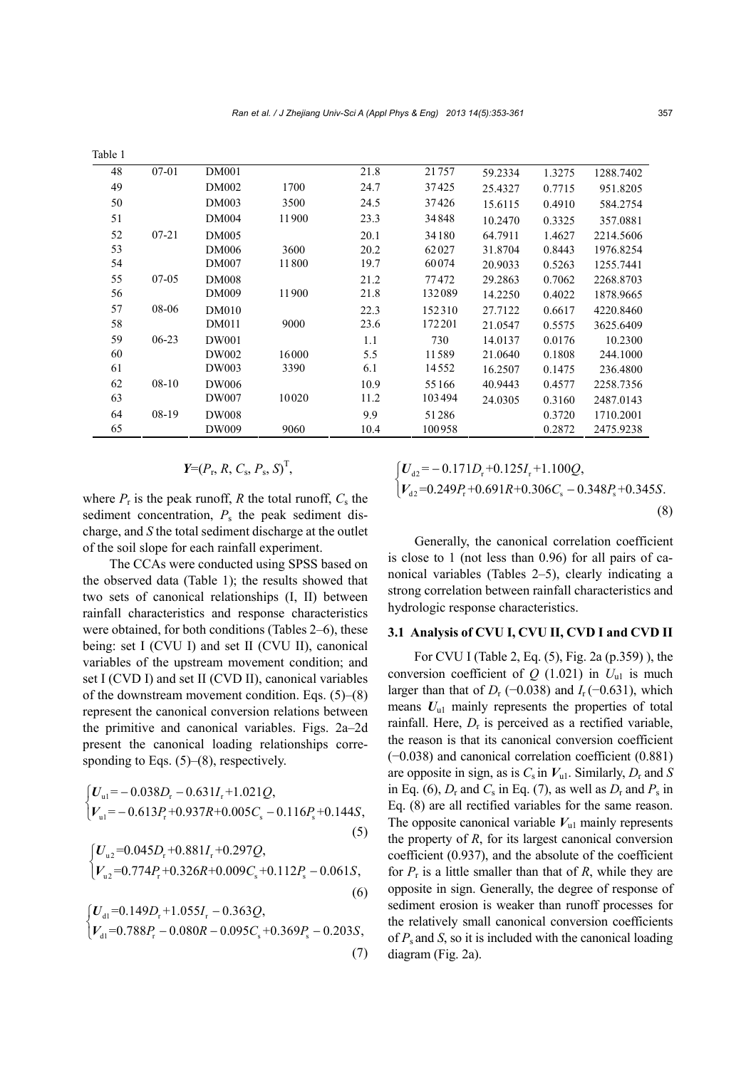| lable 1 |           |              |       |      |        |         |        |           |
|---------|-----------|--------------|-------|------|--------|---------|--------|-----------|
| 48      | $07 - 01$ | <b>DM001</b> |       | 21.8 | 21757  | 59.2334 | 1.3275 | 1288.7402 |
| 49      |           | DM002        | 1700  | 24.7 | 37425  | 25.4327 | 0.7715 | 951.8205  |
| 50      |           | DM003        | 3500  | 24.5 | 37426  | 15.6115 | 0.4910 | 584.2754  |
| 51      |           | <b>DM004</b> | 11900 | 23.3 | 34848  | 10.2470 | 0.3325 | 357.0881  |
| 52      | $07 - 21$ | <b>DM005</b> |       | 20.1 | 34180  | 64.7911 | 1.4627 | 2214.5606 |
| 53      |           | DM006        | 3600  | 20.2 | 62027  | 31.8704 | 0.8443 | 1976.8254 |
| 54      |           | DM007        | 11800 | 19.7 | 60074  | 20.9033 | 0.5263 | 1255.7441 |
| 55      | $07-05$   | <b>DM008</b> |       | 21.2 | 77472  | 29.2863 | 0.7062 | 2268.8703 |
| 56      |           | DM009        | 11900 | 21.8 | 132089 | 14.2250 | 0.4022 | 1878.9665 |
| 57      | 08-06     | <b>DM010</b> |       | 22.3 | 152310 | 27.7122 | 0.6617 | 4220.8460 |
| 58      |           | <b>DM011</b> | 9000  | 23.6 | 172201 | 21.0547 | 0.5575 | 3625.6409 |
| 59      | $06-23$   | DW001        |       | 1.1  | 730    | 14.0137 | 0.0176 | 10.2300   |
| 60      |           | DW002        | 16000 | 5.5  | 11589  | 21.0640 | 0.1808 | 244.1000  |
| 61      |           | DW003        | 3390  | 6.1  | 14552  | 16.2507 | 0.1475 | 236.4800  |
| 62      | 08-10     | DW006        |       | 10.9 | 55166  | 40.9443 | 0.4577 | 2258.7356 |
| 63      |           | DW007        | 10020 | 11.2 | 103494 | 24.0305 | 0.3160 | 2487.0143 |
| 64      | 08-19     | <b>DW008</b> |       | 9.9  | 51286  |         | 0.3720 | 1710.2001 |
| 65      |           | DW009        | 9060  | 10.4 | 100958 |         | 0.2872 | 2475.9238 |
|         |           |              |       |      |        |         |        |           |

$$
Y=(P_{\rm r}, R, C_{\rm s}, P_{\rm s}, S)^{\rm T},
$$

where  $P_r$  is the peak runoff,  $R$  the total runoff,  $C_s$  the sediment concentration,  $P_s$  the peak sediment discharge, and *S* the total sediment discharge at the outlet of the soil slope for each rainfall experiment.

 $T = T$ 

The CCAs were conducted using SPSS based on the observed data (Table 1); the results showed that two sets of canonical relationships (I, II) between rainfall characteristics and response characteristics were obtained, for both conditions (Tables 2–6), these being: set I (CVU I) and set II (CVU II), canonical variables of the upstream movement condition; and set I (CVD I) and set II (CVD II), canonical variables of the downstream movement condition. Eqs. (5)–(8) represent the canonical conversion relations between the primitive and canonical variables. Figs. 2a–2d present the canonical loading relationships corresponding to Eqs.  $(5)$ – $(8)$ , respectively.

$$
\begin{cases}\nU_{\text{u1}} = -0.038D_{\text{r}} - 0.631I_{\text{r}} + 1.021Q, \\
V_{\text{u1}} = -0.613P_{\text{r}} + 0.937R + 0.005C_{\text{s}} - 0.116P_{\text{s}} + 0.144S,\n\end{cases}
$$
\n
$$
\begin{cases}\nU_{\text{u2}} = 0.045D_{\text{r}} + 0.881I_{\text{r}} + 0.297Q,\n\end{cases}
$$
\n(5)

$$
\left\{V_{u2} = 0.774P_r + 0.326R + 0.009C_s + 0.112P_s - 0.061S,\right\}
$$
\n(6)

$$
\begin{cases}\nU_{\text{d1}} = 0.149D_{\text{r}} + 1.055I_{\text{r}} - 0.363Q, \\
V_{\text{d1}} = 0.788P_{\text{r}} - 0.080R - 0.095C_{\text{s}} + 0.369P_{\text{s}} - 0.203S,\n\end{cases}
$$
\n(7)

$$
\begin{cases}\nU_{d2} = -0.171D_{r} + 0.125I_{r} + 1.100Q, \\
V_{d2} = 0.249P_{r} + 0.691R + 0.306C_{s} - 0.348P_{s} + 0.345S.\n\end{cases}
$$
\n(8)

Generally, the canonical correlation coefficient is close to 1 (not less than 0.96) for all pairs of canonical variables (Tables 2–5), clearly indicating a strong correlation between rainfall characteristics and hydrologic response characteristics.

#### **3.1 Analysis of CVU I, CVU II, CVD I and CVD II**

For CVU I (Table 2, Eq. (5), Fig. 2a (p.359) ), the conversion coefficient of  $Q$  (1.021) in  $U_{ul}$  is much larger than that of  $D_r$  (−0.038) and  $I_r$  (−0.631), which means  $U_{ul}$  mainly represents the properties of total rainfall. Here, *D*r is perceived as a rectified variable, the reason is that its canonical conversion coefficient (−0.038) and canonical correlation coefficient (0.881) are opposite in sign, as is  $C_s$  in  $V_{ul}$ . Similarly,  $D_r$  and *S* in Eq. (6),  $D_r$  and  $C_s$  in Eq. (7), as well as  $D_r$  and  $P_s$  in Eq. (8) are all rectified variables for the same reason. The opposite canonical variable  $V_{ul}$  mainly represents the property of *R*, for its largest canonical conversion coefficient (0.937), and the absolute of the coefficient for  $P_r$  is a little smaller than that of  $R$ , while they are opposite in sign. Generally, the degree of response of sediment erosion is weaker than runoff processes for the relatively small canonical conversion coefficients of *P*<sup>s</sup> and *S*, so it is included with the canonical loading diagram (Fig. 2a).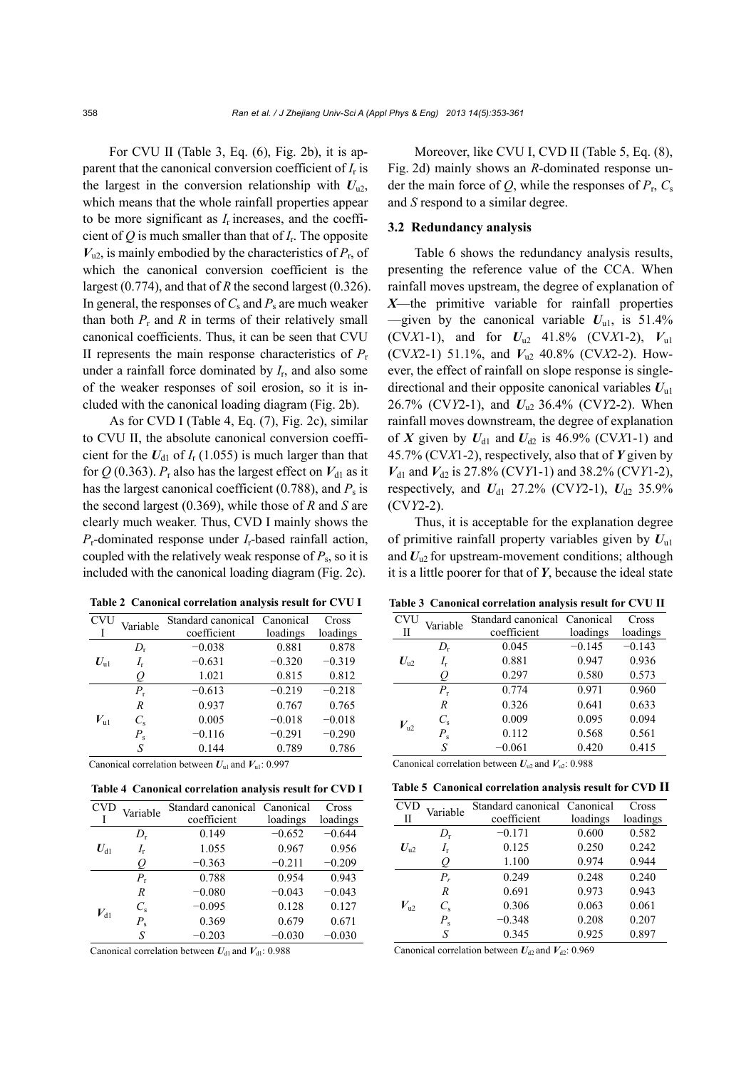For CVU II (Table 3, Eq.  $(6)$ , Fig. 2b), it is apparent that the canonical conversion coefficient of *I*r is the largest in the conversion relationship with  $U_{u2}$ , which means that the whole rainfall properties appear to be more significant as *I*r increases, and the coefficient of  $Q$  is much smaller than that of  $I_r$ . The opposite  $V_{u2}$ , is mainly embodied by the characteristics of  $P_r$ , of which the canonical conversion coefficient is the largest (0.774), and that of *R* the second largest (0.326). In general, the responses of  $C_s$  and  $P_s$  are much weaker than both  $P_r$  and  $R$  in terms of their relatively small canonical coefficients. Thus, it can be seen that CVU II represents the main response characteristics of  $P_r$ under a rainfall force dominated by  $I<sub>r</sub>$ , and also some of the weaker responses of soil erosion, so it is included with the canonical loading diagram (Fig. 2b).

As for CVD I (Table 4, Eq. (7), Fig. 2c), similar to CVU II, the absolute canonical conversion coefficient for the  $U_{d1}$  of  $I_{r}$  (1.055) is much larger than that for  $Q$  (0.363).  $P_r$  also has the largest effect on  $V_{d1}$  as it has the largest canonical coefficient (0.788), and  $P_s$  is the second largest (0.369), while those of *R* and *S* are clearly much weaker. Thus, CVD I mainly shows the *P*r-dominated response under *I*r-based rainfall action, coupled with the relatively weak response of  $P_s$ , so it is included with the canonical loading diagram (Fig. 2c).

**Table 2 Canonical correlation analysis result for CVU I**

| <b>CVU</b>   | Variable         | Standard canonical Canonical |          | Cross    |
|--------------|------------------|------------------------------|----------|----------|
|              |                  | coefficient                  | loadings | loadings |
|              | $D_{r}$          | $-0.038$                     | 0.881    | 0.878    |
| $U_{\rm ul}$ | $I_{r}$          | $-0.631$                     | $-0.320$ | $-0.319$ |
|              | O                | 1.021                        | 0.815    | 0.812    |
| $V_{\rm ul}$ | $P_{r}$          | $-0.613$                     | $-0.219$ | $-0.218$ |
|              | $\boldsymbol{R}$ | 0.937                        | 0.767    | 0.765    |
|              | $C_{s}$          | 0.005                        | $-0.018$ | $-0.018$ |
|              | $P_{\rm s}$      | $-0.116$                     | $-0.291$ | $-0.290$ |
|              | S                | 0.144                        | 0.789    | 0.786    |

Canonical correlation between  $U_{ul}$  and  $V_{ul}$ : 0.997

**Table 4 Canonical correlation analysis result for CVD I**

| <b>CVD</b> | Variable    | Standard canonical Canonical |          | Cross    |
|------------|-------------|------------------------------|----------|----------|
|            |             | coefficient                  | loadings | loadings |
|            | $D_{r}$     | 0.149                        | $-0.652$ | $-0.644$ |
| $U_{d1}$   | I,          | 1.055                        | 0.967    | 0.956    |
|            | U           | $-0.363$                     | $-0.211$ | $-0.209$ |
|            | $P_{\rm r}$ | 0.788                        | 0.954    | 0.943    |
| $V_{d1}$   | R           | $-0.080$                     | $-0.043$ | $-0.043$ |
|            | $C_{s}$     | $-0.095$                     | 0.128    | 0.127    |
|            | $P_{\rm s}$ | 0.369                        | 0.679    | 0.671    |
|            | S           | $-0.203$                     | $-0.030$ | $-0.030$ |

Canonical correlation between  $U_{d1}$  and  $V_{d1}$ : 0.988

Moreover, like CVU I, CVD II (Table 5, Eq. (8), Fig. 2d) mainly shows an *R*-dominated response under the main force of  $Q$ , while the responses of  $P_r$ ,  $C_s$ and *S* respond to a similar degree.

## **3.2 Redundancy analysis**

Table 6 shows the redundancy analysis results, presenting the reference value of the CCA. When rainfall moves upstream, the degree of explanation of *X*—the primitive variable for rainfall properties —given by the canonical variable  $U_{u1}$ , is 51.4% (CV*X*1-1), and for  $U_{u2}$  41.8% (CV*X*1-2),  $V_{u1}$ (CV*X*2-1) 51.1%, and *V*u2 40.8% (CV*X*2-2). However, the effect of rainfall on slope response is singledirectional and their opposite canonical variables *U*u1 26.7% (CV*Y*2-1), and *U*u2 36.4% (CV*Y*2-2). When rainfall moves downstream, the degree of explanation of *X* given by  $U_{d1}$  and  $U_{d2}$  is 46.9% (CV*X*1-1) and 45.7% (CV*X*1-2), respectively, also that of *Y* given by  $V_{d1}$  and  $V_{d2}$  is 27.8% (CV*Y*1-1) and 38.2% (CV*Y*1-2), respectively, and  $U_{d1}$  27.2% (CV*Y*2-1),  $U_{d2}$  35.9% (CV*Y*2-2).

Thus, it is acceptable for the explanation degree of primitive rainfall property variables given by *U*u1 and  $U_{u2}$  for upstream-movement conditions; although it is a little poorer for that of *Y*, because the ideal state

|  |  | Table 3 Canonical correlation analysis result for CVU II |  |  |  |  |
|--|--|----------------------------------------------------------|--|--|--|--|
|--|--|----------------------------------------------------------|--|--|--|--|

| <b>CVU</b>   | Variable    | Standard canonical Canonical |          | Cross    |
|--------------|-------------|------------------------------|----------|----------|
| П            |             | coefficient                  | loadings | loadings |
|              | D,          | 0.045                        | $-0.145$ | $-0.143$ |
| $U_{\rm u2}$ | $I_{\rm r}$ | 0.881                        | 0.947    | 0.936    |
|              | O           | 0.297                        | 0.580    | 0.573    |
|              | $P_{\rm r}$ | 0.774                        | 0.971    | 0.960    |
| $V_{\rm u2}$ | R           | 0.326                        | 0.641    | 0.633    |
|              | $C_{s}$     | 0.009                        | 0.095    | 0.094    |
|              | $P_{\rm s}$ | 0.112                        | 0.568    | 0.561    |
|              | S           | $-0.061$                     | 0.420    | 0.415    |

Canonical correlation between  $U_{u2}$  and  $V_{u2}$ : 0.988

|  |  | Table 5 Canonical correlation analysis result for CVD II |  |  |  |  |
|--|--|----------------------------------------------------------|--|--|--|--|
|--|--|----------------------------------------------------------|--|--|--|--|

| <b>CVD</b>   | Variable    | Standard canonical Canonical |          | Cross    |
|--------------|-------------|------------------------------|----------|----------|
| П            |             | coefficient                  | loadings | loadings |
|              | $D_{\rm r}$ | $-0.171$                     | 0.600    | 0.582    |
| $U_{\rm n2}$ | $I_{\rm r}$ | 0.125                        | 0.250    | 0.242    |
|              | Ų           | 1.100                        | 0.974    | 0.944    |
|              | $P_r$       | 0.249                        | 0.248    | 0.240    |
| $V_{\rm u2}$ | R           | 0.691                        | 0.973    | 0.943    |
|              | $C_{s}$     | 0.306                        | 0.063    | 0.061    |
|              | $P_{\rm s}$ | $-0.348$                     | 0.208    | 0.207    |
|              | S           | 0.345                        | 0.925    | 0.897    |

Canonical correlation between  $U_{d2}$  and  $V_{d2}$ : 0.969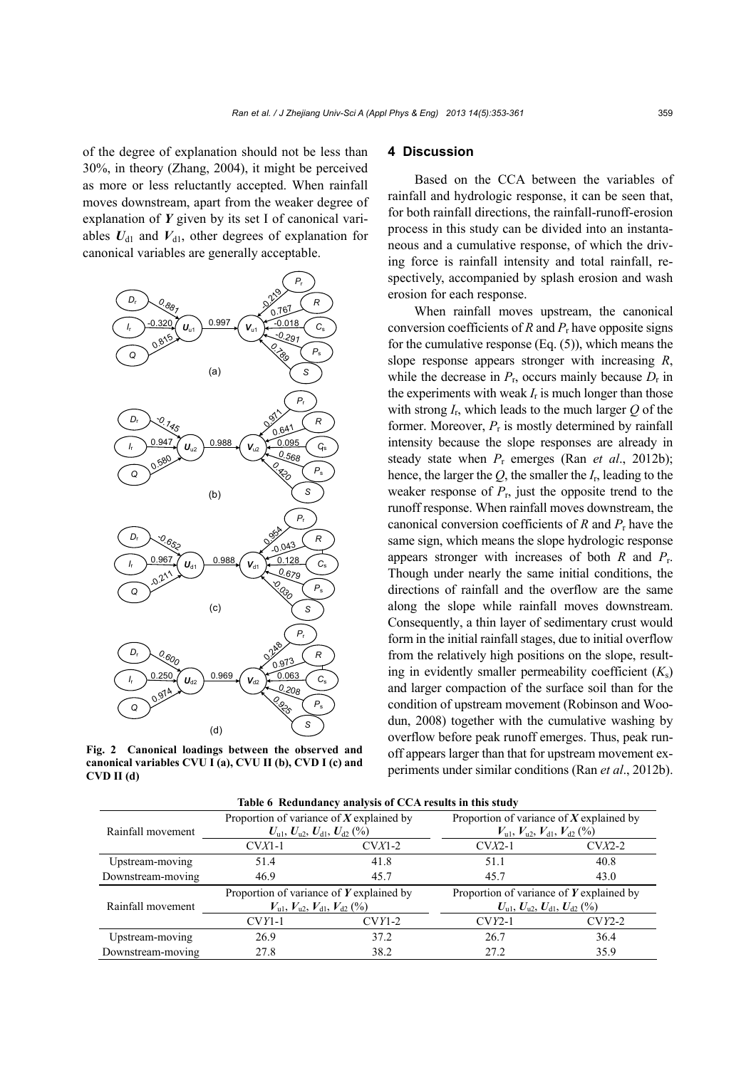of the degree of explanation should not be less than 30%, in theory (Zhang, 2004), it might be perceived as more or less reluctantly accepted. When rainfall moves downstream, apart from the weaker degree of explanation of *Y* given by its set I of canonical variables  $U_{d1}$  and  $V_{d1}$ , other degrees of explanation for canonical variables are generally acceptable.



**Fig. 2 Canonical loadings between the observed and canonical variables CVU I (a), CVU II (b), CVD I (c) and CVD II (d)** 

# **4 Discussion**

Based on the CCA between the variables of rainfall and hydrologic response, it can be seen that, for both rainfall directions, the rainfall-runoff-erosion process in this study can be divided into an instantaneous and a cumulative response, of which the driving force is rainfall intensity and total rainfall, respectively, accompanied by splash erosion and wash erosion for each response.

When rainfall moves upstream, the canonical conversion coefficients of *R* and *P*<sup>r</sup> have opposite signs for the cumulative response  $(Eq. (5))$ , which means the slope response appears stronger with increasing *R*, while the decrease in  $P_r$ , occurs mainly because  $D_r$  in the experiments with weak  $I_r$  is much longer than those with strong  $I_r$ , which leads to the much larger  $Q$  of the former. Moreover,  $P_r$  is mostly determined by rainfall intensity because the slope responses are already in steady state when *P*r emerges (Ran *et al*., 2012b); hence, the larger the *Q*, the smaller the *I*r, leading to the weaker response of  $P_r$ , just the opposite trend to the runoff response. When rainfall moves downstream, the canonical conversion coefficients of *R* and *P*r have the same sign, which means the slope hydrologic response appears stronger with increases of both *R* and *P*r. Though under nearly the same initial conditions, the directions of rainfall and the overflow are the same along the slope while rainfall moves downstream. Consequently, a thin layer of sedimentary crust would form in the initial rainfall stages, due to initial overflow from the relatively high positions on the slope, resulting in evidently smaller permeability coefficient  $(K_s)$ and larger compaction of the surface soil than for the condition of upstream movement (Robinson and Woodun, 2008) together with the cumulative washing by overflow before peak runoff emerges. Thus, peak runoff appears larger than that for upstream movement experiments under similar conditions (Ran *et al*., 2012b).

|                   |                                                                                                                         | Table 6 Redundancy analysis of CCA results in this study |                                                                                                                         |                 |  |
|-------------------|-------------------------------------------------------------------------------------------------------------------------|----------------------------------------------------------|-------------------------------------------------------------------------------------------------------------------------|-----------------|--|
| Rainfall movement | Proportion of variance of $X$ explained by<br>$U_{\rm u1}, U_{\rm u2}, U_{\rm d1}, U_{\rm d2}$ (%)                      |                                                          | Proportion of variance of $X$ explained by<br>$V_{\text{u1}}$ , $V_{\text{u2}}$ , $V_{\text{d1}}$ , $V_{\text{d2}}$ (%) |                 |  |
|                   | $CVX1-1$                                                                                                                | $CVA1-2$                                                 | $CVX2-1$                                                                                                                | $C\text{V}X2-2$ |  |
| Upstream-moving   | 51.4                                                                                                                    | 41.8                                                     | 51.1                                                                                                                    | 40.8            |  |
| Downstream-moving | 46.9                                                                                                                    | 45.7                                                     | 45.7                                                                                                                    | 43.0            |  |
| Rainfall movement | Proportion of variance of $Y$ explained by<br>$V_{\text{ul}}$ , $V_{\text{u2}}$ , $V_{\text{dl}}$ , $V_{\text{d2}}$ (%) |                                                          | Proportion of variance of $Y$ explained by<br>$U_{\text{ul}}$ , $U_{\text{ul}}$ , $U_{\text{dl}}$ , $U_{\text{dl}}$ (%) |                 |  |
|                   | $CVY1-1$                                                                                                                | $CVY1-2$                                                 | $CVY2-1$                                                                                                                | $CVY2-2$        |  |
| Upstream-moving   | 26.9                                                                                                                    | 37.2                                                     | 26.7                                                                                                                    | 36.4            |  |
| Downstream-moving | 27.8                                                                                                                    | 38.2                                                     | 27.2                                                                                                                    | 35.9            |  |

**Table 6 Redundancy analysis of CCA results in this study**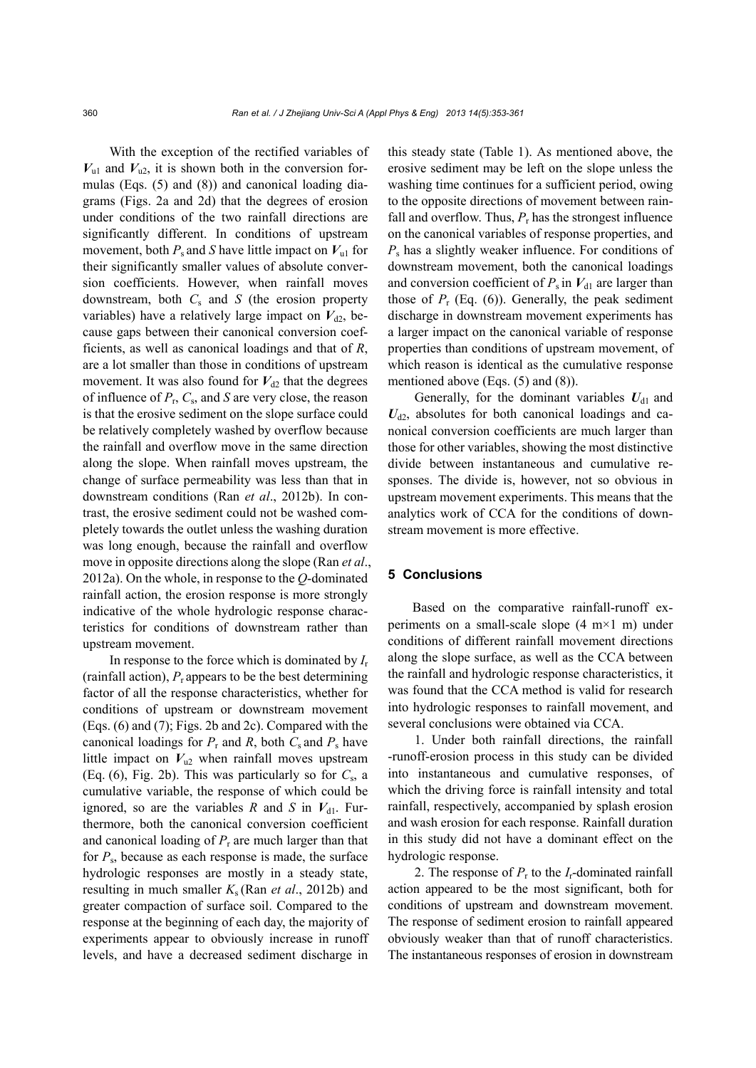With the exception of the rectified variables of  $V_{ul}$  and  $V_{u2}$ , it is shown both in the conversion formulas (Eqs. (5) and (8)) and canonical loading diagrams (Figs. 2a and 2d) that the degrees of erosion under conditions of the two rainfall directions are significantly different. In conditions of upstream movement, both  $P_s$  and *S* have little impact on  $V_{ul}$  for their significantly smaller values of absolute conversion coefficients. However, when rainfall moves downstream, both  $C_s$  and  $S$  (the erosion property variables) have a relatively large impact on  $V_{d2}$ , because gaps between their canonical conversion coefficients, as well as canonical loadings and that of *R*, are a lot smaller than those in conditions of upstream movement. It was also found for  $V_{d2}$  that the degrees of influence of *P*r, *C*s, and *S* are very close, the reason is that the erosive sediment on the slope surface could be relatively completely washed by overflow because the rainfall and overflow move in the same direction along the slope. When rainfall moves upstream, the change of surface permeability was less than that in downstream conditions (Ran *et al*., 2012b). In contrast, the erosive sediment could not be washed completely towards the outlet unless the washing duration was long enough, because the rainfall and overflow move in opposite directions along the slope (Ran *et al*., 2012a). On the whole, in response to the *Q*-dominated rainfall action, the erosion response is more strongly indicative of the whole hydrologic response characteristics for conditions of downstream rather than upstream movement.

In response to the force which is dominated by *I*<sup>r</sup> (rainfall action), *P*<sup>r</sup> appears to be the best determining factor of all the response characteristics, whether for conditions of upstream or downstream movement (Eqs. (6) and (7); Figs. 2b and 2c). Compared with the canonical loadings for  $P_r$  and  $R$ , both  $C_s$  and  $P_s$  have little impact on  $V_{u2}$  when rainfall moves upstream (Eq.  $(6)$ , Fig. 2b). This was particularly so for  $C_s$ , a cumulative variable, the response of which could be ignored, so are the variables *R* and *S* in  $V_{d1}$ . Furthermore, both the canonical conversion coefficient and canonical loading of  $P_r$  are much larger than that for  $P_s$ , because as each response is made, the surface hydrologic responses are mostly in a steady state, resulting in much smaller *K*<sup>s</sup> (Ran *et al*., 2012b) and greater compaction of surface soil. Compared to the response at the beginning of each day, the majority of experiments appear to obviously increase in runoff levels, and have a decreased sediment discharge in

this steady state (Table 1). As mentioned above, the erosive sediment may be left on the slope unless the washing time continues for a sufficient period, owing to the opposite directions of movement between rainfall and overflow. Thus,  $P_r$  has the strongest influence on the canonical variables of response properties, and *P*s has a slightly weaker influence. For conditions of downstream movement, both the canonical loadings and conversion coefficient of  $P_s$  in  $V_{d1}$  are larger than those of  $P_r$  (Eq. (6)). Generally, the peak sediment discharge in downstream movement experiments has a larger impact on the canonical variable of response properties than conditions of upstream movement, of which reason is identical as the cumulative response mentioned above (Eqs. (5) and (8)).

Generally, for the dominant variables  $U_{d1}$  and  $U_{d2}$ , absolutes for both canonical loadings and canonical conversion coefficients are much larger than those for other variables, showing the most distinctive divide between instantaneous and cumulative responses. The divide is, however, not so obvious in upstream movement experiments. This means that the analytics work of CCA for the conditions of downstream movement is more effective.

## **5 Conclusions**

Based on the comparative rainfall-runoff experiments on a small-scale slope (4 m×1 m) under conditions of different rainfall movement directions along the slope surface, as well as the CCA between the rainfall and hydrologic response characteristics, it was found that the CCA method is valid for research into hydrologic responses to rainfall movement, and several conclusions were obtained via CCA.

1. Under both rainfall directions, the rainfall -runoff-erosion process in this study can be divided into instantaneous and cumulative responses, of which the driving force is rainfall intensity and total rainfall, respectively, accompanied by splash erosion and wash erosion for each response. Rainfall duration in this study did not have a dominant effect on the hydrologic response.

2. The response of  $P_r$  to the  $I_r$ -dominated rainfall action appeared to be the most significant, both for conditions of upstream and downstream movement. The response of sediment erosion to rainfall appeared obviously weaker than that of runoff characteristics. The instantaneous responses of erosion in downstream